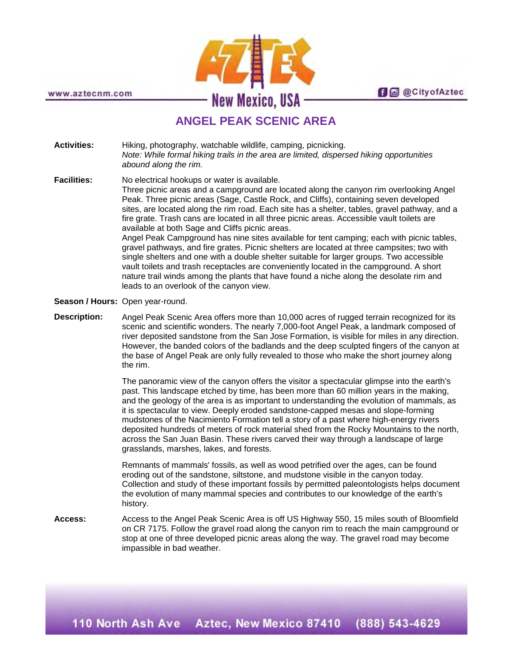www.aztecnm.com



**f d** @CityofAztec

# **ANGEL PEAK SCENIC AREA**

**Activities:** Hiking, photography, watchable wildlife, camping, picnicking. *Note: While formal hiking trails in the area are limited, dispersed hiking opportunities abound along the rim.*

**Facilities:** No electrical hookups or water is available.

Three picnic areas and a campground are located along the canyon rim overlooking Angel Peak. Three picnic areas (Sage, Castle Rock, and Cliffs), containing seven developed sites, are located along the rim road. Each site has a shelter, tables, gravel pathway, and a fire grate. Trash cans are located in all three picnic areas. Accessible vault toilets are available at both Sage and Cliffs picnic areas. Angel Peak Campground has nine sites available for tent camping; each with picnic tables, gravel pathways, and fire grates. Picnic shelters are located at three campsites; two with single shelters and one with a double shelter suitable for larger groups. Two accessible vault toilets and trash receptacles are conveniently located in the campground. A short nature trail winds among the plants that have found a niche along the desolate rim and leads to an overlook of the canyon view.

#### **Season / Hours:** Open year-round.

**Description:** Angel Peak Scenic Area offers more than 10,000 acres of rugged terrain recognized for its scenic and scientific wonders. The nearly 7,000-foot Angel Peak, a landmark composed of river deposited sandstone from the San Jose Formation, is visible for miles in any direction. However, the banded colors of the badlands and the deep sculpted fingers of the canyon at the base of Angel Peak are only fully revealed to those who make the short journey along the rim.

> The panoramic view of the canyon offers the visitor a spectacular glimpse into the earth's past. This landscape etched by time, has been more than 60 million years in the making, and the geology of the area is as important to understanding the evolution of mammals, as it is spectacular to view. Deeply eroded sandstone-capped mesas and slope-forming mudstones of the Nacimiento Formation tell a story of a past where high-energy rivers deposited hundreds of meters of rock material shed from the Rocky Mountains to the north, across the San Juan Basin. These rivers carved their way through a landscape of large grasslands, marshes, lakes, and forests.

> Remnants of mammals' fossils, as well as wood petrified over the ages, can be found eroding out of the sandstone, siltstone, and mudstone visible in the canyon today. Collection and study of these important fossils by permitted paleontologists helps document the evolution of many mammal species and contributes to our knowledge of the earth's history.

**Access:** Access to the Angel Peak Scenic Area is off US Highway 550, 15 miles south of Bloomfield on CR 7175. Follow the gravel road along the canyon rim to reach the main campground or stop at one of three developed picnic areas along the way. The gravel road may become impassible in bad weather.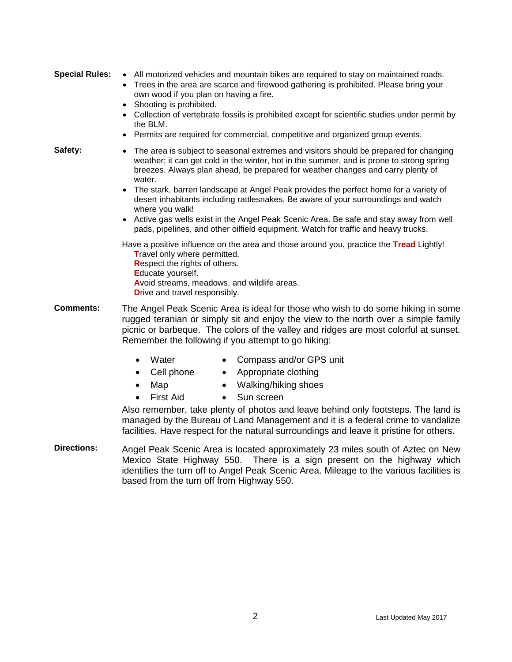- **Special Rules:** All motorized vehicles and mountain bikes are required to stay on maintained roads.
	- Trees in the area are scarce and firewood gathering is prohibited. Please bring your own wood if you plan on having a fire.
	- Shooting is prohibited.
	- Collection of vertebrate fossils is prohibited except for scientific studies under permit by the BLM.
	- Permits are required for commercial, competitive and organized group events.
- **Safety:** The area is subject to seasonal extremes and visitors should be prepared for changing weather; it can get cold in the winter, hot in the summer, and is prone to strong spring breezes. Always plan ahead, be prepared for weather changes and carry plenty of water.
	- The stark, barren landscape at Angel Peak provides the perfect home for a variety of desert inhabitants including rattlesnakes. Be aware of your surroundings and watch where you walk!
	- Active gas wells exist in the Angel Peak Scenic Area. Be safe and stay away from well pads, pipelines, and other oilfield equipment. Watch for traffic and heavy trucks.

Have a positive influence on the area and those around you, practice the **Tread** Lightly! **T**ravel only where permitted. **R**espect the rights of others. **E**ducate yourself. **A**void streams, meadows, and wildlife areas. **Drive and travel responsibly.** 

**Comments:** The Angel Peak Scenic Area is ideal for those who wish to do some hiking in some rugged teranian or simply sit and enjoy the view to the north over a simple family picnic or barbeque. The colors of the valley and ridges are most colorful at sunset. Remember the following if you attempt to go hiking:

- **Water** • Compass and/or GPS unit
	- Cell phone • Appropriate clothing
- Map • Walking/hiking shoes
- First Aid • Sun screen

Also remember, take plenty of photos and leave behind only footsteps. The land is managed by the Bureau of Land Management and it is a federal crime to vandalize facilities. Have respect for the natural surroundings and leave it pristine for others.

**Directions:** Angel Peak Scenic Area is located approximately 23 miles south of Aztec on New Mexico State Highway 550. There is a sign present on the highway which identifies the turn off to Angel Peak Scenic Area. Mileage to the various facilities is based from the turn off from Highway 550.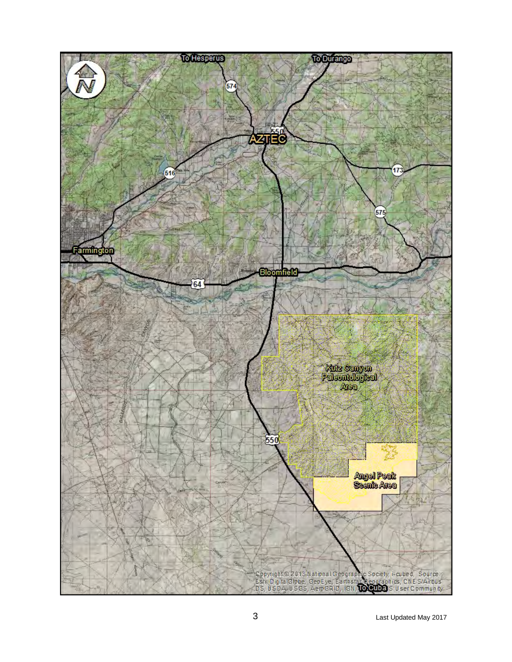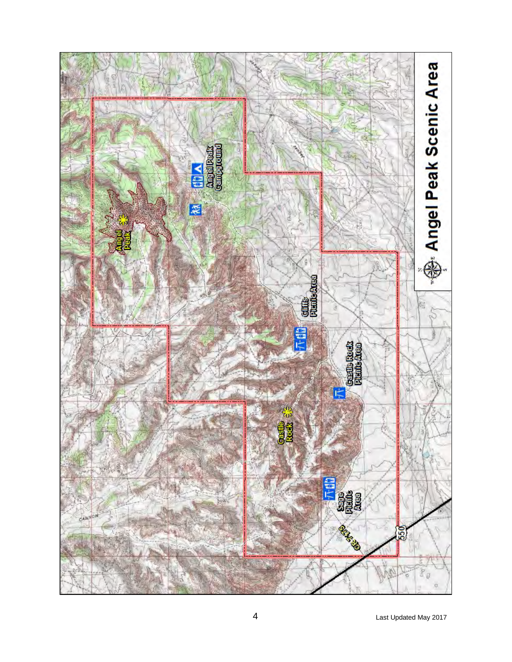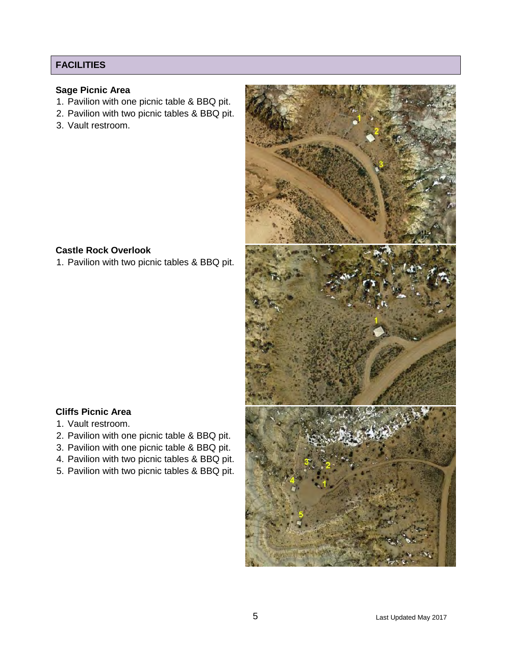#### **FACILITIES**

## **Sage Picnic Area**

- 1. Pavilion with one picnic table & BBQ pit.
- 2. Pavilion with two picnic tables & BBQ pit.
- 3. Vault restroom.

#### **Castle Rock Overlook**

1. Pavilion with two picnic tables & BBQ pit.



#### **Cliffs Picnic Area**

- 1. Vault restroom.
- 2. Pavilion with one picnic table & BBQ pit.
- 3. Pavilion with one picnic table & BBQ pit.
- 4. Pavilion with two picnic tables & BBQ pit.
- 5. Pavilion with two picnic tables & BBQ pit.